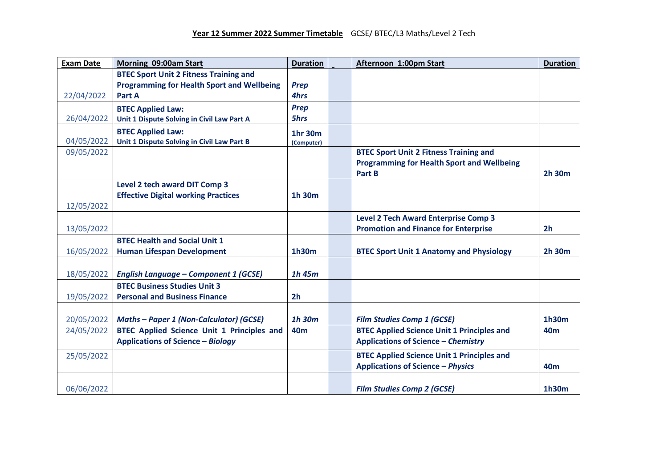| <b>Exam Date</b> | Morning 09:00am Start                             | <b>Duration</b> | Afternoon 1:00pm Start                            | <b>Duration</b> |
|------------------|---------------------------------------------------|-----------------|---------------------------------------------------|-----------------|
|                  | <b>BTEC Sport Unit 2 Fitness Training and</b>     |                 |                                                   |                 |
|                  | <b>Programming for Health Sport and Wellbeing</b> | <b>Prep</b>     |                                                   |                 |
| 22/04/2022       | Part A                                            | 4hrs            |                                                   |                 |
|                  | <b>BTEC Applied Law:</b>                          | <b>Prep</b>     |                                                   |                 |
| 26/04/2022       | Unit 1 Dispute Solving in Civil Law Part A        | 5hrs            |                                                   |                 |
|                  | <b>BTEC Applied Law:</b>                          | 1hr 30m         |                                                   |                 |
| 04/05/2022       | Unit 1 Dispute Solving in Civil Law Part B        | (Computer)      |                                                   |                 |
| 09/05/2022       |                                                   |                 | <b>BTEC Sport Unit 2 Fitness Training and</b>     |                 |
|                  |                                                   |                 | <b>Programming for Health Sport and Wellbeing</b> |                 |
|                  |                                                   |                 | Part B                                            | 2h 30m          |
|                  | Level 2 tech award DIT Comp 3                     |                 |                                                   |                 |
|                  | <b>Effective Digital working Practices</b>        | 1h 30m          |                                                   |                 |
| 12/05/2022       |                                                   |                 |                                                   |                 |
|                  |                                                   |                 | <b>Level 2 Tech Award Enterprise Comp 3</b>       |                 |
| 13/05/2022       |                                                   |                 | <b>Promotion and Finance for Enterprise</b>       | 2 <sub>h</sub>  |
|                  | <b>BTEC Health and Social Unit 1</b>              |                 |                                                   |                 |
| 16/05/2022       | <b>Human Lifespan Development</b>                 | 1h30m           | <b>BTEC Sport Unit 1 Anatomy and Physiology</b>   | 2h 30m          |
|                  |                                                   |                 |                                                   |                 |
| 18/05/2022       | <b>English Language - Component 1 (GCSE)</b>      | $1h$ 45 $m$     |                                                   |                 |
|                  | <b>BTEC Business Studies Unit 3</b>               |                 |                                                   |                 |
| 19/05/2022       | <b>Personal and Business Finance</b>              | 2 <sub>h</sub>  |                                                   |                 |
|                  |                                                   |                 |                                                   |                 |
| 20/05/2022       | <b>Maths - Paper 1 (Non-Calculator) (GCSE)</b>    | 1h 30m          | <b>Film Studies Comp 1 (GCSE)</b>                 | 1h30m           |
| 24/05/2022       | <b>BTEC Applied Science Unit 1 Principles and</b> | <b>40m</b>      | <b>BTEC Applied Science Unit 1 Principles and</b> | 40 <sub>m</sub> |
|                  | <b>Applications of Science - Biology</b>          |                 | <b>Applications of Science - Chemistry</b>        |                 |
| 25/05/2022       |                                                   |                 | <b>BTEC Applied Science Unit 1 Principles and</b> |                 |
|                  |                                                   |                 | <b>Applications of Science - Physics</b>          | 40 <sub>m</sub> |
|                  |                                                   |                 |                                                   |                 |
| 06/06/2022       |                                                   |                 | <b>Film Studies Comp 2 (GCSE)</b>                 | 1h30m           |